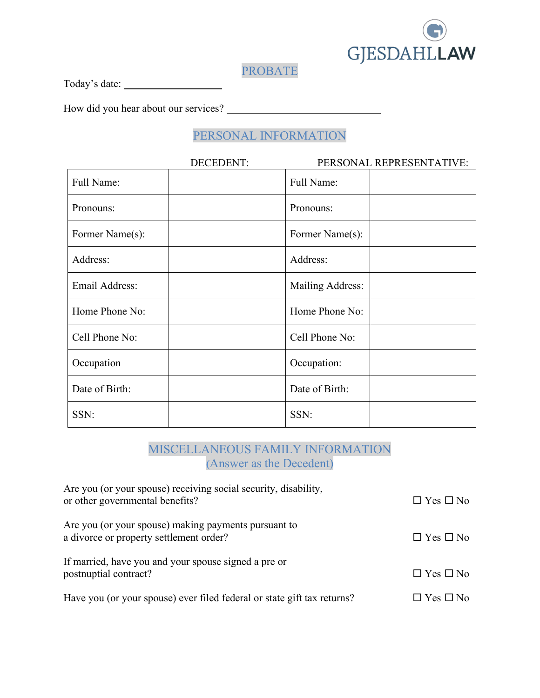

PROBATE

Today's date:

How did you hear about our services?

## PERSONAL INFORMATION

|                 | <b>DECEDENT:</b> |                  | PERSONAL REPRESENTATIVE: |
|-----------------|------------------|------------------|--------------------------|
| Full Name:      |                  | Full Name:       |                          |
| Pronouns:       |                  | Pronouns:        |                          |
| Former Name(s): |                  | Former Name(s):  |                          |
| Address:        |                  | Address:         |                          |
| Email Address:  |                  | Mailing Address: |                          |
| Home Phone No:  |                  | Home Phone No:   |                          |
| Cell Phone No:  |                  | Cell Phone No:   |                          |
| Occupation      |                  | Occupation:      |                          |
| Date of Birth:  |                  | Date of Birth:   |                          |
| SSN:            |                  | SSN:             |                          |

### MISCELLANEOUS FAMILY INFORMATION **(**Answer as the Decedent)

| Are you (or your spouse) receiving social security, disability,<br>or other governmental benefits? | $\Box$ Yes $\Box$ No |
|----------------------------------------------------------------------------------------------------|----------------------|
| Are you (or your spouse) making payments pursuant to<br>a divorce or property settlement order?    | $\Box$ Yes $\Box$ No |
| If married, have you and your spouse signed a pre or<br>postnuptial contract?                      | $\Box$ Yes $\Box$ No |
| Have you (or your spouse) ever filed federal or state gift tax returns?                            | $\Box$ Yes $\Box$ No |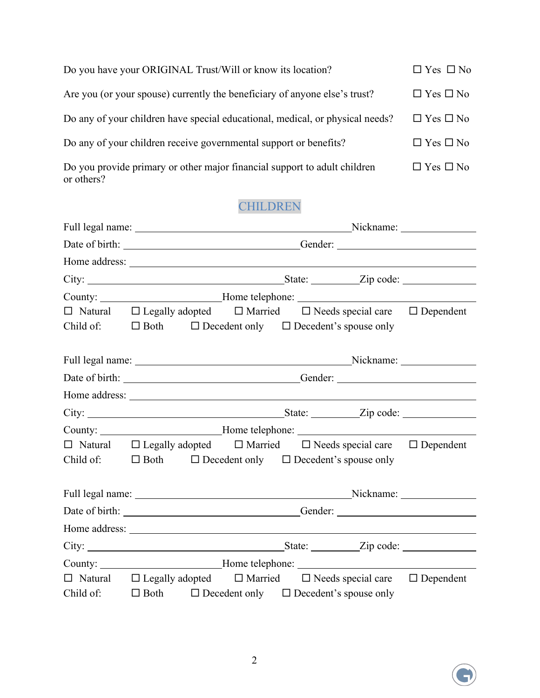| Do you have your ORIGINAL Trust/Will or know its location?                              | $\Box$ Yes $\Box$ No |
|-----------------------------------------------------------------------------------------|----------------------|
| Are you (or your spouse) currently the beneficiary of anyone else's trust?              | $\Box$ Yes $\Box$ No |
| Do any of your children have special educational, medical, or physical needs?           | $\Box$ Yes $\Box$ No |
| Do any of your children receive governmental support or benefits?                       | $\Box$ Yes $\Box$ No |
| Do you provide primary or other major financial support to adult children<br>or others? | $\Box$ Yes $\Box$ No |

# CHILDREN

|                                                                                   |  |  | Full legal name: Nickname: Nickname: Nickname:                                                  |
|-----------------------------------------------------------------------------------|--|--|-------------------------------------------------------------------------------------------------|
|                                                                                   |  |  | Date of birth: ___________________________________Gender: _______________________               |
|                                                                                   |  |  |                                                                                                 |
|                                                                                   |  |  |                                                                                                 |
|                                                                                   |  |  | County: _____________________________Home telephone: ____________________________               |
|                                                                                   |  |  | $\Box$ Natural $\Box$ Legally adopted $\Box$ Married $\Box$ Needs special care $\Box$ Dependent |
| Child of: $\square$ Both $\square$ Decedent only $\square$ Decedent's spouse only |  |  |                                                                                                 |
|                                                                                   |  |  |                                                                                                 |
|                                                                                   |  |  | Full legal name: Nickname: Nickname: Nickname:                                                  |
|                                                                                   |  |  |                                                                                                 |
|                                                                                   |  |  |                                                                                                 |
|                                                                                   |  |  |                                                                                                 |
|                                                                                   |  |  | County: ___________________________Home telephone: _____________________________                |
|                                                                                   |  |  | $\Box$ Natural $\Box$ Legally adopted $\Box$ Married $\Box$ Needs special care $\Box$ Dependent |
| Child of: $\square$ Both $\square$ Decedent only $\square$ Decedent's spouse only |  |  |                                                                                                 |
|                                                                                   |  |  |                                                                                                 |
|                                                                                   |  |  | Full legal name: Nickname: Nickname: Nickname:                                                  |
|                                                                                   |  |  |                                                                                                 |
|                                                                                   |  |  |                                                                                                 |
|                                                                                   |  |  |                                                                                                 |
|                                                                                   |  |  | County: _________________________Home telephone: _______________________________                |
|                                                                                   |  |  | $\Box$ Natural $\Box$ Legally adopted $\Box$ Married $\Box$ Needs special care $\Box$ Dependent |
| Child of: $\square$ Both $\square$ Decedent only $\square$ Decedent's spouse only |  |  |                                                                                                 |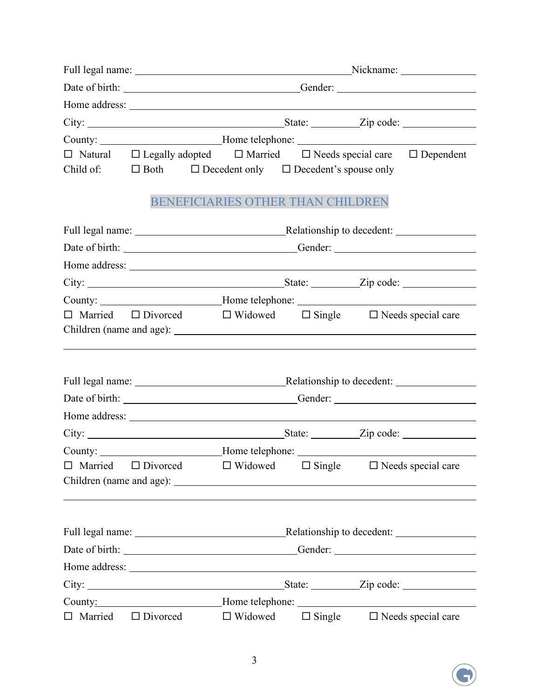|                | Full legal name: Nickname: Nickname: Nickname: |                                                                          |  |                                                                                                 |  |  |
|----------------|------------------------------------------------|--------------------------------------------------------------------------|--|-------------------------------------------------------------------------------------------------|--|--|
|                |                                                |                                                                          |  |                                                                                                 |  |  |
|                |                                                |                                                                          |  |                                                                                                 |  |  |
|                |                                                |                                                                          |  |                                                                                                 |  |  |
|                |                                                |                                                                          |  | County: ____________________________Home telephone: ____________________________                |  |  |
|                |                                                |                                                                          |  | $\Box$ Natural $\Box$ Legally adopted $\Box$ Married $\Box$ Needs special care $\Box$ Dependent |  |  |
|                |                                                | Child of: $\Box$ Both $\Box$ Decedent only $\Box$ Decedent's spouse only |  |                                                                                                 |  |  |
|                |                                                | BENEFICIARIES OTHER THAN CHILDREN                                        |  |                                                                                                 |  |  |
|                |                                                |                                                                          |  |                                                                                                 |  |  |
|                |                                                |                                                                          |  | Full legal name: Relationship to decedent:                                                      |  |  |
|                |                                                |                                                                          |  |                                                                                                 |  |  |
|                |                                                |                                                                          |  |                                                                                                 |  |  |
|                |                                                |                                                                          |  |                                                                                                 |  |  |
|                |                                                |                                                                          |  | County: __________________________Home telephone: ______________________________                |  |  |
|                |                                                |                                                                          |  | $\Box$ Married $\Box$ Divorced $\Box$ Widowed $\Box$ Single $\Box$ Needs special care           |  |  |
|                |                                                |                                                                          |  |                                                                                                 |  |  |
|                |                                                |                                                                          |  |                                                                                                 |  |  |
|                |                                                |                                                                          |  |                                                                                                 |  |  |
|                |                                                |                                                                          |  |                                                                                                 |  |  |
|                |                                                |                                                                          |  |                                                                                                 |  |  |
|                |                                                |                                                                          |  |                                                                                                 |  |  |
|                |                                                |                                                                          |  |                                                                                                 |  |  |
|                |                                                |                                                                          |  | County: _____________________________Home telephone: ____________________________               |  |  |
| $\Box$ Married |                                                | $\Box$ Divorced $\Box$ Widowed                                           |  | $\Box$ Single $\Box$ Needs special care                                                         |  |  |
|                |                                                |                                                                          |  |                                                                                                 |  |  |
|                |                                                |                                                                          |  |                                                                                                 |  |  |
|                |                                                |                                                                          |  |                                                                                                 |  |  |
|                |                                                |                                                                          |  |                                                                                                 |  |  |
|                |                                                |                                                                          |  |                                                                                                 |  |  |
|                |                                                |                                                                          |  |                                                                                                 |  |  |
|                |                                                |                                                                          |  |                                                                                                 |  |  |
|                |                                                |                                                                          |  | County: Mome telephone: Mome telephone:                                                         |  |  |
|                |                                                | $\Box$ Married $\Box$ Divorced $\Box$ Widowed                            |  | $\Box$ Single $\Box$ Needs special care                                                         |  |  |



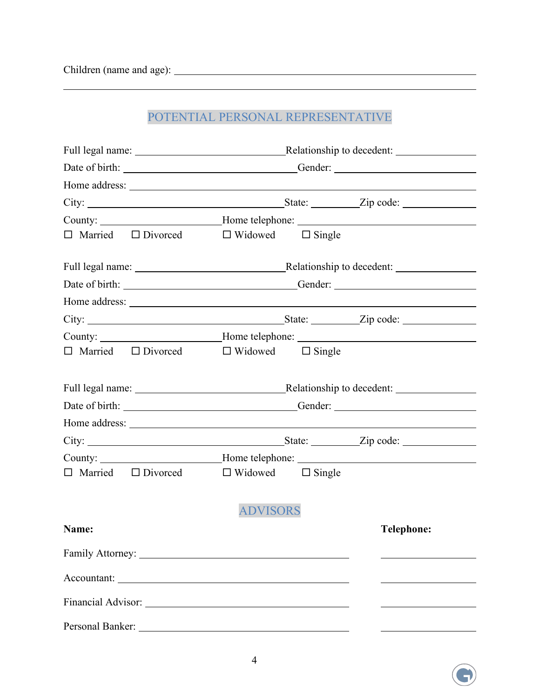$\overline{a}$ 

# POTENTIAL PERSONAL REPRESENTATIVE

| Date of birth: _________________________________Gender: _________________________ |                 |  |                   |  |
|-----------------------------------------------------------------------------------|-----------------|--|-------------------|--|
|                                                                                   |                 |  |                   |  |
|                                                                                   |                 |  |                   |  |
| County: ___________________________Home telephone: _____________________________  |                 |  |                   |  |
| $\Box$ Married $\Box$ Divorced $\Box$ Widowed $\Box$ Single                       |                 |  |                   |  |
|                                                                                   |                 |  |                   |  |
| Date of birth: _________________________________Gender: _________________________ |                 |  |                   |  |
|                                                                                   |                 |  |                   |  |
|                                                                                   |                 |  |                   |  |
| County: ___________________________Home telephone: _____________________________  |                 |  |                   |  |
| $\Box$ Married $\Box$ Divorced $\Box$ Widowed $\Box$ Single                       |                 |  |                   |  |
|                                                                                   |                 |  |                   |  |
|                                                                                   |                 |  |                   |  |
|                                                                                   |                 |  |                   |  |
|                                                                                   |                 |  |                   |  |
| County: ____________________________Home telephone: ____________________________  |                 |  |                   |  |
| $\Box$ Married $\Box$ Divorced $\Box$ Widowed $\Box$ Single                       |                 |  |                   |  |
|                                                                                   | <b>ADVISORS</b> |  |                   |  |
| Name:                                                                             |                 |  | <b>Telephone:</b> |  |
|                                                                                   |                 |  |                   |  |
|                                                                                   |                 |  |                   |  |
|                                                                                   |                 |  |                   |  |
|                                                                                   |                 |  |                   |  |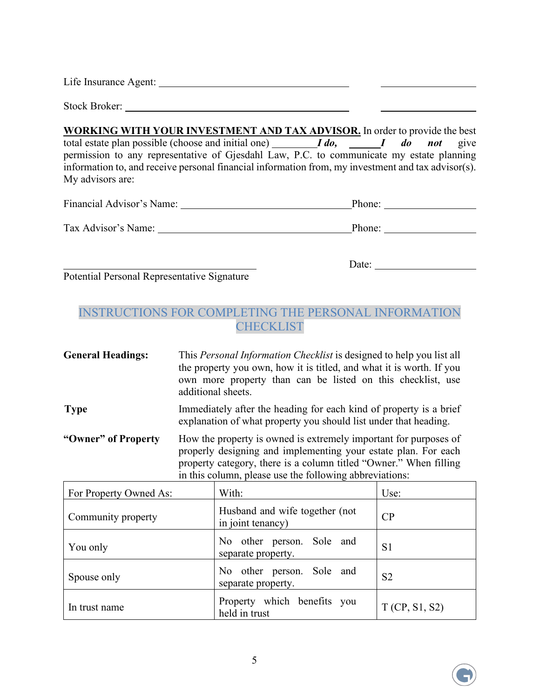Life Insurance Agent:

Stock Broker:

**WORKING WITH YOUR INVESTMENT AND TAX ADVISOR.** In order to provide the best total estate plan possible (choose and initial one) *I do, I do not* give permission to any representative of Gjesdahl Law, P.C. to communicate my estate planning information to, and receive personal financial information from, my investment and tax advisor(s). My advisors are:

| Financial Advisor's Name: | Phone: |  |
|---------------------------|--------|--|
| Tax Advisor's Name:       | Phone: |  |
|                           |        |  |

<u>Date:</u>

Potential Personal Representative Signature

#### INSTRUCTIONS FOR COMPLETING THE PERSONAL INFORMATION **CHECKLIST**

| <b>General Headings:</b> | This <i>Personal Information Checklist</i> is designed to help you list all<br>the property you own, how it is titled, and what it is worth. If you<br>own more property than can be listed on this checklist, use<br>additional sheets.                           |
|--------------------------|--------------------------------------------------------------------------------------------------------------------------------------------------------------------------------------------------------------------------------------------------------------------|
| <b>Type</b>              | Immediately after the heading for each kind of property is a brief<br>explanation of what property you should list under that heading.                                                                                                                             |
| "Owner" of Property      | How the property is owned is extremely important for purposes of<br>properly designing and implementing your estate plan. For each<br>property category, there is a column titled "Owner." When filling<br>in this column, please use the following abbreviations: |

| For Property Owned As: | With:                                               | Use:           |
|------------------------|-----------------------------------------------------|----------------|
| Community property     | Husband and wife together (not<br>in joint tenancy) | CP             |
| You only               | No other person. Sole and<br>separate property.     | S <sub>1</sub> |
| Spouse only            | No other person. Sole and<br>separate property.     | S <sub>2</sub> |
| In trust name          | Property which benefits you<br>held in trust        | T(CP, S1, S2)  |

5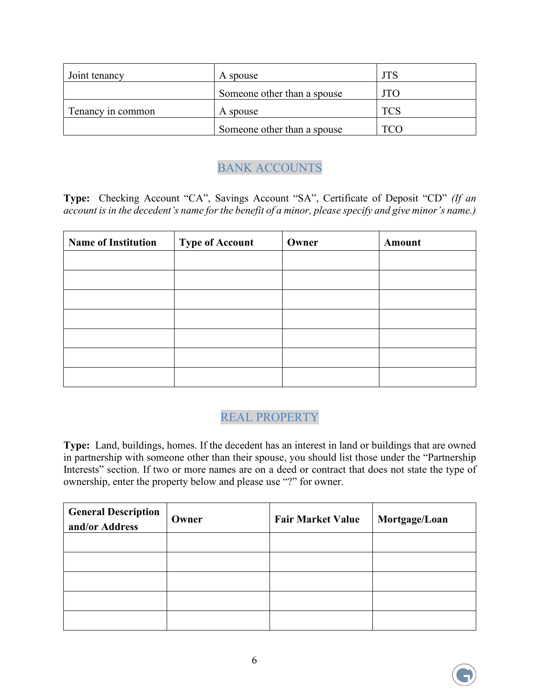| Joint tenancy     | A spouse                    | <b>JTS</b> |
|-------------------|-----------------------------|------------|
|                   | Someone other than a spouse | <b>JTO</b> |
| Tenancy in common | A spouse                    | <b>TCS</b> |
|                   | Someone other than a spouse |            |

### BANK ACCOUNTS

**Type:** Checking Account "CA", Savings Account "SA", Certificate of Deposit "CD" *(If an account is in the decedent's name for the benefit of a minor, please specify and give minor's name.)*

| <b>Name of Institution</b> | <b>Type of Account</b> | Owner | Amount |
|----------------------------|------------------------|-------|--------|
|                            |                        |       |        |
|                            |                        |       |        |
|                            |                        |       |        |
|                            |                        |       |        |
|                            |                        |       |        |
|                            |                        |       |        |
|                            |                        |       |        |

### REAL PROPERTY

**Type:** Land, buildings, homes. If the decedent has an interest in land or buildings that are owned in partnership with someone other than their spouse, you should list those under the "Partnership Interests" section. If two or more names are on a deed or contract that does not state the type of ownership, enter the property below and please use "?" for owner.

| <b>General Description</b><br>and/or Address | Owner | <b>Fair Market Value</b> | Mortgage/Loan |
|----------------------------------------------|-------|--------------------------|---------------|
|                                              |       |                          |               |
|                                              |       |                          |               |
|                                              |       |                          |               |
|                                              |       |                          |               |
|                                              |       |                          |               |

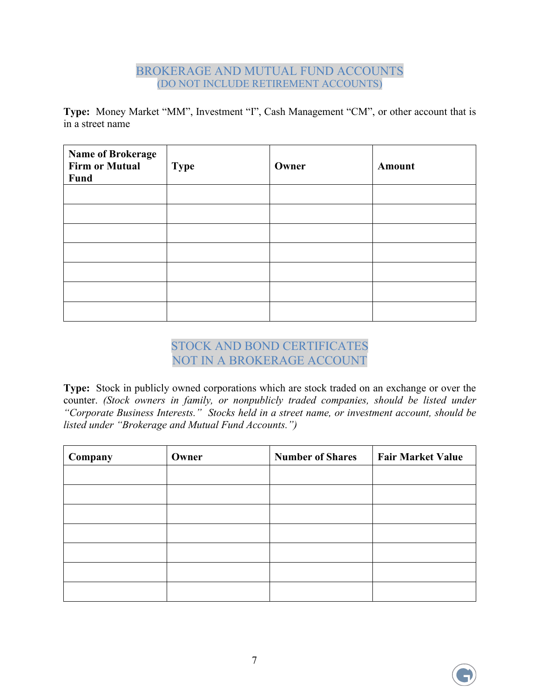#### BROKERAGE AND MUTUAL FUND ACCOUNTS (DO NOT INCLUDE RETIREMENT ACCOUNTS)

**Type:** Money Market "MM", Investment "I", Cash Management "CM", or other account that is in a street name

| <b>Name of Brokerage</b><br><b>Firm or Mutual</b><br>Fund | <b>Type</b> | Owner | <b>Amount</b> |
|-----------------------------------------------------------|-------------|-------|---------------|
|                                                           |             |       |               |
|                                                           |             |       |               |
|                                                           |             |       |               |
|                                                           |             |       |               |
|                                                           |             |       |               |
|                                                           |             |       |               |
|                                                           |             |       |               |

#### STOCK AND BOND CERTIFICATES NOT IN A BROKERAGE ACCOUNT

**Type:** Stock in publicly owned corporations which are stock traded on an exchange or over the counter. *(Stock owners in family, or nonpublicly traded companies, should be listed under "Corporate Business Interests." Stocks held in a street name, or investment account, should be listed under "Brokerage and Mutual Fund Accounts.")*

| Company | Owner | <b>Number of Shares</b> | <b>Fair Market Value</b> |
|---------|-------|-------------------------|--------------------------|
|         |       |                         |                          |
|         |       |                         |                          |
|         |       |                         |                          |
|         |       |                         |                          |
|         |       |                         |                          |
|         |       |                         |                          |
|         |       |                         |                          |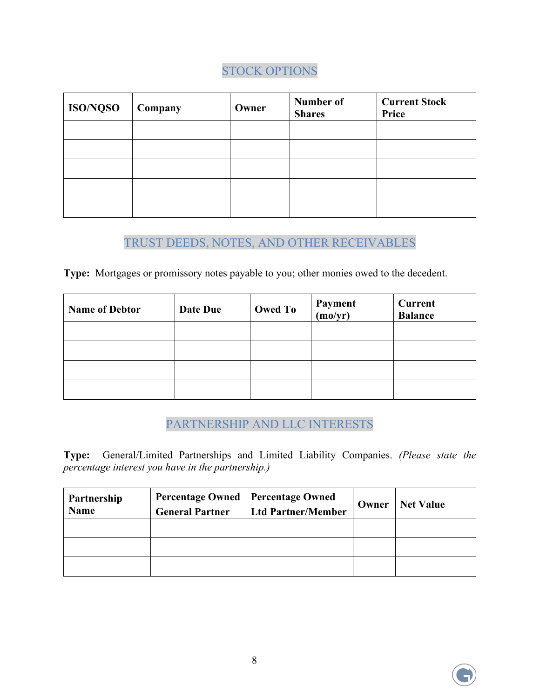## STOCK OPTIONS

| <b>ISO/NQSO</b> | Company | Owner | Number of<br><b>Shares</b> | <b>Current Stock</b><br>Price |
|-----------------|---------|-------|----------------------------|-------------------------------|
|                 |         |       |                            |                               |
|                 |         |       |                            |                               |
|                 |         |       |                            |                               |
|                 |         |       |                            |                               |
|                 |         |       |                            |                               |

#### TRUST DEEDS, NOTES, AND OTHER RECEIVABLES

**Type:** Mortgages or promissory notes payable to you; other monies owed to the decedent.

| <b>Name of Debtor</b> | Date Due | <b>Owed To</b> | Payment<br>(mo/yr) | <b>Current</b><br><b>Balance</b> |
|-----------------------|----------|----------------|--------------------|----------------------------------|
|                       |          |                |                    |                                  |
|                       |          |                |                    |                                  |
|                       |          |                |                    |                                  |
|                       |          |                |                    |                                  |

## PARTNERSHIP AND LLC INTERESTS

**Type:** General/Limited Partnerships and Limited Liability Companies. *(Please state the percentage interest you have in the partnership.)* 

| Partnership<br><b>Name</b> | <b>General Partner</b> | Percentage Owned   Percentage Owned<br><b>Ltd Partner/Member</b> | Owner | <b>Net Value</b> |
|----------------------------|------------------------|------------------------------------------------------------------|-------|------------------|
|                            |                        |                                                                  |       |                  |
|                            |                        |                                                                  |       |                  |
|                            |                        |                                                                  |       |                  |

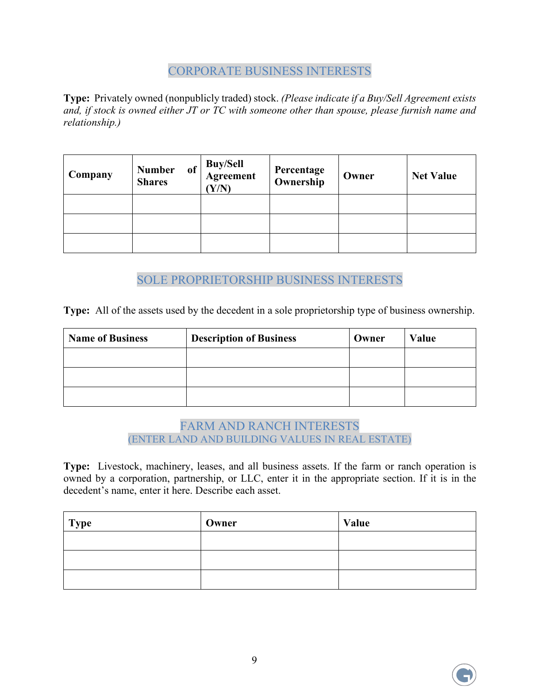### CORPORATE BUSINESS INTERESTS

**Type:** Privately owned (nonpublicly traded) stock. *(Please indicate if a Buy/Sell Agreement exists and, if stock is owned either JT or TC with someone other than spouse, please furnish name and relationship.)* 

| Company | <b>Number</b><br>of <sub>1</sub><br><b>Shares</b> | Buy/Sell<br>  Agreement<br>$\mathbf{Y}/\mathbf{N}$ | Percentage<br>Ownership | Owner | <b>Net Value</b> |
|---------|---------------------------------------------------|----------------------------------------------------|-------------------------|-------|------------------|
|         |                                                   |                                                    |                         |       |                  |
|         |                                                   |                                                    |                         |       |                  |
|         |                                                   |                                                    |                         |       |                  |

SOLE PROPRIETORSHIP BUSINESS INTERESTS

**Type:** All of the assets used by the decedent in a sole proprietorship type of business ownership.

| <b>Name of Business</b> | <b>Description of Business</b> | Owner | Value |
|-------------------------|--------------------------------|-------|-------|
|                         |                                |       |       |
|                         |                                |       |       |
|                         |                                |       |       |

#### FARM AND RANCH INTERESTS (ENTER LAND AND BUILDING VALUES IN REAL ESTATE)

**Type:** Livestock, machinery, leases, and all business assets. If the farm or ranch operation is owned by a corporation, partnership, or LLC, enter it in the appropriate section. If it is in the decedent's name, enter it here. Describe each asset.

| <b>Type</b> | Owner | Value |
|-------------|-------|-------|
|             |       |       |
|             |       |       |
|             |       |       |



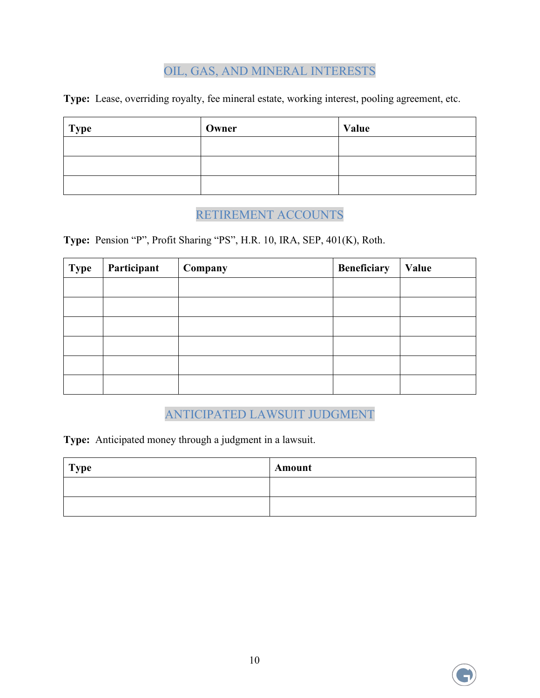## OIL, GAS, AND MINERAL INTERESTS

**Type:** Lease, overriding royalty, fee mineral estate, working interest, pooling agreement, etc.

| <b>Type</b> | Owner | Value |
|-------------|-------|-------|
|             |       |       |
|             |       |       |
|             |       |       |

## RETIREMENT ACCOUNTS

**Type:** Pension "P", Profit Sharing "PS", H.R. 10, IRA, SEP, 401(K), Roth.

| <b>Type</b> | Participant | Company | <b>Beneficiary</b> | Value |
|-------------|-------------|---------|--------------------|-------|
|             |             |         |                    |       |
|             |             |         |                    |       |
|             |             |         |                    |       |
|             |             |         |                    |       |
|             |             |         |                    |       |
|             |             |         |                    |       |

#### ANTICIPATED LAWSUIT JUDGMENT

**Type:** Anticipated money through a judgment in a lawsuit.

| <b>Type</b> | Amount |
|-------------|--------|
|             |        |
|             |        |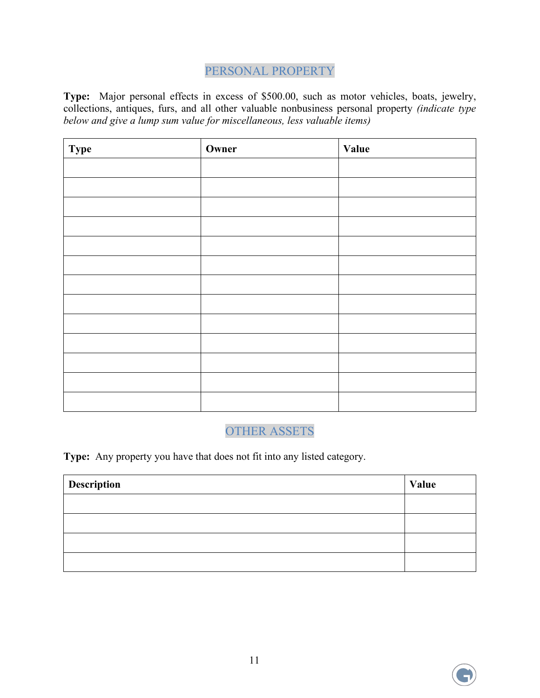## PERSONAL PROPERTY

**Type:** Major personal effects in excess of \$500.00, such as motor vehicles, boats, jewelry, collections, antiques, furs, and all other valuable nonbusiness personal property *(indicate type below and give a lump sum value for miscellaneous, less valuable items)* 

| <b>Type</b> | Owner | Value |
|-------------|-------|-------|
|             |       |       |
|             |       |       |
|             |       |       |
|             |       |       |
|             |       |       |
|             |       |       |
|             |       |       |
|             |       |       |
|             |       |       |
|             |       |       |
|             |       |       |
|             |       |       |
|             |       |       |

#### OTHER ASSETS

**Type:** Any property you have that does not fit into any listed category.

| Description | Value |
|-------------|-------|
|             |       |
|             |       |
|             |       |
|             |       |